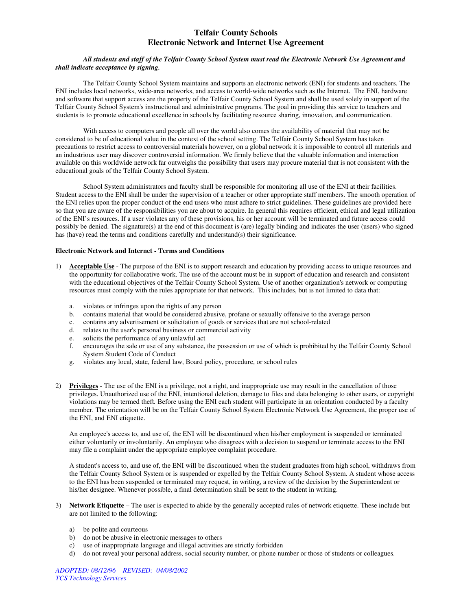### **Telfair County Schools Electronic Network and Internet Use Agreement**

#### *All students and staff of the Telfair County School System must read the Electronic Network Use Agreement and shall indicate acceptance by signing.*

 The Telfair County School System maintains and supports an electronic network (ENI) for students and teachers. The ENI includes local networks, wide-area networks, and access to world-wide networks such as the Internet. The ENI, hardware and software that support access are the property of the Telfair County School System and shall be used solely in support of the Telfair County School System's instructional and administrative programs. The goal in providing this service to teachers and students is to promote educational excellence in schools by facilitating resource sharing, innovation, and communication.

 With access to computers and people all over the world also comes the availability of material that may not be considered to be of educational value in the context of the school setting. The Telfair County School System has taken precautions to restrict access to controversial materials however, on a global network it is impossible to control all materials and an industrious user may discover controversial information. We firmly believe that the valuable information and interaction available on this worldwide network far outweighs the possibility that users may procure material that is not consistent with the educational goals of the Telfair County School System.

 School System administrators and faculty shall be responsible for monitoring all use of the ENI at their facilities. Student access to the ENI shall be under the supervision of a teacher or other appropriate staff members. The smooth operation of the ENI relies upon the proper conduct of the end users who must adhere to strict guidelines. These guidelines are provided here so that you are aware of the responsibilities you are about to acquire. In general this requires efficient, ethical and legal utilization of the ENI's resources. If a user violates any of these provisions, his or her account will be terminated and future access could possibly be denied. The signature(s) at the end of this document is (are) legally binding and indicates the user (users) who signed has (have) read the terms and conditions carefully and understand(s) their significance.

### **Electronic Network and Internet - Terms and Conditions**

- 1) **Acceptable Use** The purpose of the ENI is to support research and education by providing access to unique resources and the opportunity for collaborative work. The use of the account must be in support of education and research and consistent with the educational objectives of the Telfair County School System. Use of another organization's network or computing resources must comply with the rules appropriate for that network. This includes, but is not limited to data that:
	- a. violates or infringes upon the rights of any person
	- b. contains material that would be considered abusive, profane or sexually offensive to the average person
	- c. contains any advertisement or solicitation of goods or services that are not school-related
	- d. relates to the user's personal business or commercial activity
	- e. solicits the performance of any unlawful act
	- f. encourages the sale or use of any substance, the possession or use of which is prohibited by the Telfair County School System Student Code of Conduct
	- g. violates any local, state, federal law, Board policy, procedure, or school rules
- 2) **Privileges** The use of the ENI is a privilege, not a right, and inappropriate use may result in the cancellation of those privileges. Unauthorized use of the ENI, intentional deletion, damage to files and data belonging to other users, or copyright violations may be termed theft*.* Before using the ENI each student will participate in an orientation conducted by a faculty member. The orientation will be on the Telfair County School System Electronic Network Use Agreement, the proper use of the ENI, and ENI etiquette.

An employee's access to, and use of, the ENI will be discontinued when his/her employment is suspended or terminated either voluntarily or involuntarily. An employee who disagrees with a decision to suspend or terminate access to the ENI may file a complaint under the appropriate employee complaint procedure.

A student's access to, and use of, the ENI will be discontinued when the student graduates from high school, withdraws from the Telfair County School System or is suspended or expelled by the Telfair County School System. A student whose access to the ENI has been suspended or terminated may request, in writing, a review of the decision by the Superintendent or his/her designee. Whenever possible, a final determination shall be sent to the student in writing.

- 3) **Network Etiquette** The user is expected to abide by the generally accepted rules of network etiquette. These include but are not limited to the following:
	- a) be polite and courteous
	- b) do not be abusive in electronic messages to others
	- c) use of inappropriate language and illegal activities are strictly forbidden
	- d) do not reveal your personal address, social security number, or phone number or those of students or colleagues.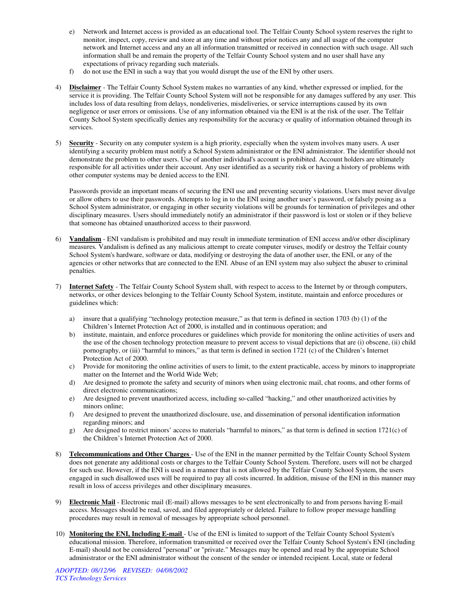- e) Network and Internet access is provided as an educational tool. The Telfair County School system reserves the right to monitor, inspect, copy, review and store at any time and without prior notices any and all usage of the computer network and Internet access and any an all information transmitted or received in connection with such usage. All such information shall be and remain the property of the Telfair County School system and no user shall have any expectations of privacy regarding such materials.
- f) do not use the ENI in such a way that you would disrupt the use of the ENI by other users.
- 4) **Disclaimer** The Telfair County School System makes no warranties of any kind, whether expressed or implied, for the service it is providing. The Telfair County School System will not be responsible for any damages suffered by any user. This includes loss of data resulting from delays, nondeliveries, misdeliveries, or service interruptions caused by its own negligence or user errors or omissions. Use of any information obtained via the ENI is at the risk of the user. The Telfair County School System specifically denies any responsibility for the accuracy or quality of information obtained through its services.
- 5) **Security** Security on any computer system is a high priority, especially when the system involves many users. A user identifying a security problem must notify a School System administrator or the ENI administrator. The identifier should not demonstrate the problem to other users. Use of another individual's account is prohibited. Account holders are ultimately responsible for all activities under their account. Any user identified as a security risk or having a history of problems with other computer systems may be denied access to the ENI.

Passwords provide an important means of securing the ENI use and preventing security violations. Users must never divulge or allow others to use their passwords. Attempts to log in to the ENI using another user's password, or falsely posing as a School System administrator, or engaging in other security violations will be grounds for termination of privileges and other disciplinary measures. Users should immediately notify an administrator if their password is lost or stolen or if they believe that someone has obtained unauthorized access to their password.

- 6) **Vandalism** ENI vandalism is prohibited and may result in immediate termination of ENI access and/or other disciplinary measures*.* Vandalism is defined as any malicious attempt to create computer viruses, modify or destroy the Telfair county School System's hardware, software or data, modifying or destroying the data of another user, the ENI, or any of the agencies or other networks that are connected to the ENI. Abuse of an ENI system may also subject the abuser to criminal penalties.
- 7) **Internet Safety** The Telfair County School System shall, with respect to access to the Internet by or through computers, networks, or other devices belonging to the Telfair County School System, institute, maintain and enforce procedures or guidelines which:
	- a) insure that a qualifying "technology protection measure," as that term is defined in section 1703 (b) (1) of the Children's Internet Protection Act of 2000, is installed and in continuous operation; and
	- b) institute, maintain, and enforce procedures or guidelines which provide for monitoring the online activities of users and the use of the chosen technology protection measure to prevent access to visual depictions that are (i) obscene, (ii) child pornography, or (iii) "harmful to minors," as that term is defined in section 1721 (c) of the Children's Internet Protection Act of 2000.
	- c) Provide for monitoring the online activities of users to limit, to the extent practicable, access by minors to inappropriate matter on the Internet and the World Wide Web;
	- d) Are designed to promote the safety and security of minors when using electronic mail, chat rooms, and other forms of direct electronic communications;
	- e) Are designed to prevent unauthorized access, including so-called "hacking," and other unauthorized activities by minors online;
	- f) Are designed to prevent the unauthorized disclosure, use, and dissemination of personal identification information regarding minors; and
	- g) Are designed to restrict minors' access to materials "harmful to minors," as that term is defined in section 1721(c) of the Children's Internet Protection Act of 2000.
- 8) **Telecommunications and Other Charges**  Use of the ENI in the manner permitted by the Telfair County School System does not generate any additional costs or charges to the Telfair County School System. Therefore, users will not be charged for such use. However, if the ENI is used in a manner that is not allowed by the Telfair County School System, the users engaged in such disallowed uses will be required to pay all costs incurred. In addition, misuse of the ENI in this manner may result in loss of access privileges and other disciplinary measures.
- 9) **Electronic Mail** Electronic mail (E-mail) allows messages to be sent electronically to and from persons having E-mail access. Messages should be read, saved, and filed appropriately or deleted. Failure to follow proper message handling procedures may result in removal of messages by appropriate school personnel.
- 10) **Monitoring the ENI, Including E-mail**  Use of the ENI is limited to support of the Telfair County School System's educational mission. Therefore, information transmitted or received over the Telfair County School System's ENI (including E-mail) should not be considered "personal" or "private." Messages may be opened and read by the appropriate School administrator or the ENI administrator without the consent of the sender or intended recipient. Local, state or federal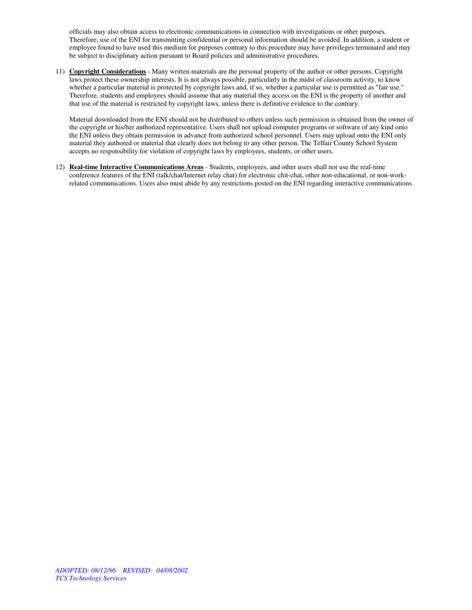officials may also obtain access to electronic communications in connection with investigations or other purposes. Therefore, use of the ENI for transmitting confidential or personal information should be avoided. In addition, a student or employee found to have used this medium for purposes contrary to this procedure may have privileges terminated and may be subject to disciplinary action pursuant to Board policies and administrative procedures.

11) **Copyright Considerations** - Many written materials are the personal property of the author or other persons. Copyright laws protect these ownership interests. It is not always possible, particularly in the midst of classroom activity, to know whether a particular material is protected by copyright laws and, if so, whether a particular use is permitted as "fair use." Therefore, students and employees should assume that any material they access on the ENI is the property of another and that use of the material is restricted by copyright laws, unless there is definitive evidence to the contrary.

Material downloaded from the ENI should not be distributed to others unless such permission is obtained from the owner of the copyright or his/her authorized representative. Users shall not upload computer programs or software of any kind onto the ENI unless they obtain permission in advance from authorized school personnel. Users may upload onto the ENI only material they authored or material that clearly does not belong to any other person. The Telfair County School System accepts no responsibility for violation of copyright laws by employees, students, or other users.

12) **Real-time Interactive Communications Areas** - Students, employees, and other users shall not use the real-time conference features of the ENI (talk/chat/Internet relay chat) for electronic chit-chat, other non-educational, or non-workrelated communications. Users also must abide by any restrictions posted on the ENI regarding interactive communications.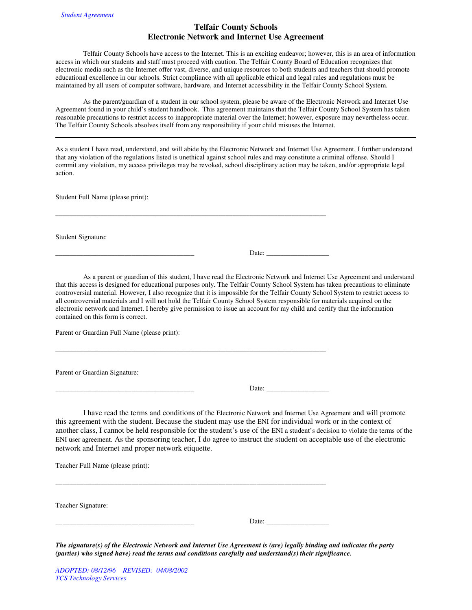# **Telfair County Schools Electronic Network and Internet Use Agreement**

 Telfair County Schools have access to the Internet. This is an exciting endeavor; however, this is an area of information access in which our students and staff must proceed with caution. The Telfair County Board of Education recognizes that electronic media such as the Internet offer vast, diverse, and unique resources to both students and teachers that should promote educational excellence in our schools. Strict compliance with all applicable ethical and legal rules and regulations must be maintained by all users of computer software, hardware, and Internet accessibility in the Telfair County School System.

 As the parent/guardian of a student in our school system, please be aware of the Electronic Network and Internet Use Agreement found in your child's student handbook. This agreement maintains that the Telfair County School System has taken reasonable precautions to restrict access to inappropriate material over the Internet; however, exposure may nevertheless occur. The Telfair County Schools absolves itself from any responsibility if your child misuses the Internet.

As a student I have read, understand, and will abide by the Electronic Network and Internet Use Agreement. I further understand that any violation of the regulations listed is unethical against school rules and may constitute a criminal offense. Should I commit any violation, my access privileges may be revoked, school disciplinary action may be taken, and/or appropriate legal action.

 $\overline{\phantom{a}}$  , and the set of the set of the set of the set of the set of the set of the set of the set of the set of the set of the set of the set of the set of the set of the set of the set of the set of the set of the s

 $\overline{\phantom{a}}$  , and the set of the set of the set of the set of the set of the set of the set of the set of the set of the set of the set of the set of the set of the set of the set of the set of the set of the set of the s

Student Full Name (please print):

Student Signature:

\_\_\_\_\_\_\_\_\_\_\_\_\_\_\_\_\_\_\_\_\_\_\_\_\_\_\_\_\_\_\_\_\_\_\_\_\_\_\_\_ Date: \_\_\_\_\_\_\_\_\_\_\_\_\_\_\_\_\_\_

 As a parent or guardian of this student, I have read the Electronic Network and Internet Use Agreement and understand that this access is designed for educational purposes only. The Telfair County School System has taken precautions to eliminate controversial material. However, I also recognize that it is impossible for the Telfair County School System to restrict access to all controversial materials and I will not hold the Telfair County School System responsible for materials acquired on the electronic network and Internet. I hereby give permission to issue an account for my child and certify that the information contained on this form is correct.

Parent or Guardian Full Name (please print):

Parent or Guardian Signature:

\_\_\_\_\_\_\_\_\_\_\_\_\_\_\_\_\_\_\_\_\_\_\_\_\_\_\_\_\_\_\_\_\_\_\_\_\_\_\_\_ Date: \_\_\_\_\_\_\_\_\_\_\_\_\_\_\_\_\_\_

I have read the terms and conditions of the Electronic Network and Internet Use Agreement and will promote this agreement with the student. Because the student may use the ENI for individual work or in the context of another class, I cannot be held responsible for the student's use of the ENI a student's decision to violate the terms of the ENI user agreement. As the sponsoring teacher, I do agree to instruct the student on acceptable use of the electronic network and Internet and proper network etiquette.

Teacher Full Name (please print):

| Teacher Signature: |       |
|--------------------|-------|
|                    | Date: |

\_\_\_\_\_\_\_\_\_\_\_\_\_\_\_\_\_\_\_\_\_\_\_\_\_\_\_\_\_\_\_\_\_\_\_\_\_\_\_\_\_\_\_\_\_\_\_\_\_\_\_\_\_\_\_\_\_\_\_\_\_\_\_\_\_\_\_\_\_\_\_\_\_\_\_\_\_\_

*The signature(s) of the Electronic Network and Internet Use Agreement is (are) legally binding and indicates the party (parties) who signed have) read the terms and conditions carefully and understand(s) their significance.*